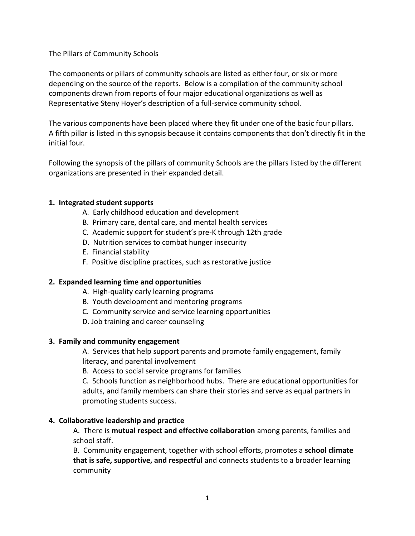The Pillars of Community Schools

The components or pillars of community schools are listed as either four, or six or more depending on the source of the reports. Below is a compilation of the community school components drawn from reports of four major educational organizations as well as Representative Steny Hoyer's description of a full-service community school.

The various components have been placed where they fit under one of the basic four pillars. A fifth pillar is listed in this synopsis because it contains components that don't directly fit in the initial four.

Following the synopsis of the pillars of community Schools are the pillars listed by the different organizations are presented in their expanded detail.

### **1. Integrated student supports**

- A. Early childhood education and development
- B. Primary care, dental care, and mental health services
- C. Academic support for student's pre-K through 12th grade
- D. Nutrition services to combat hunger insecurity
- E. Financial stability
- F. Positive discipline practices, such as restorative justice

### **2. Expanded learning time and opportunities**

- A. High-quality early learning programs
- B. Youth development and mentoring programs
- C. Community service and service learning opportunities
- D. Job training and career counseling

### **3. Family and community engagement**

A. Services that help support parents and promote family engagement, family literacy, and parental involvement

B. Access to social service programs for families

C. Schools function as neighborhood hubs. There are educational opportunities for adults, and family members can share their stories and serve as equal partners in promoting students success.

### **4. Collaborative leadership and practice**

A. There is **mutual respect and effective collaboration** among parents, families and school staff.

B. Community engagement, together with school efforts, promotes a **school climate that is safe, supportive, and respectful** and connects students to a broader learning community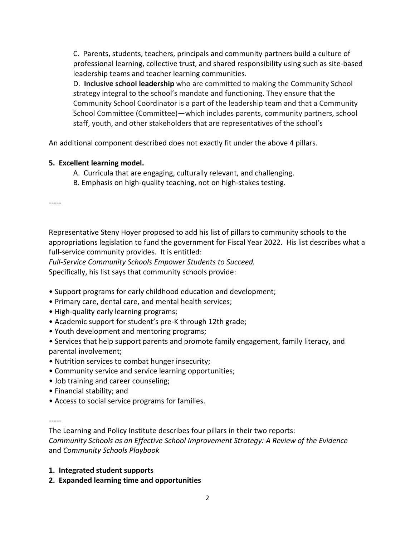C. Parents, students, teachers, principals and community partners build a culture of professional learning, collective trust, and shared responsibility using such as site-based leadership teams and teacher learning communities.

D. **Inclusive school leadership** who are committed to making the Community School strategy integral to the school's mandate and functioning. They ensure that the Community School Coordinator is a part of the leadership team and that a Community School Committee (Committee)—which includes parents, community partners, school staff, youth, and other stakeholders that are representatives of the school's

An additional component described does not exactly fit under the above 4 pillars.

# **5. Excellent learning model.**

- A.Curricula that are engaging, culturally relevant, and challenging.
- B. Emphasis on high-quality teaching, not on high-stakes testing.

-----

Representative Steny Hoyer proposed to add his list of pillars to community schools to the appropriations legislation to fund the government for Fiscal Year 2022. His list describes what a full-service community provides. It is entitled:

*Full-Service Community Schools Empower Students to Succeed.*

Specifically, his list says that community schools provide:

- Support programs for early childhood education and development;
- Primary care, dental care, and mental health services;
- High-quality early learning programs;
- Academic support for student's pre-K through 12th grade;
- Youth development and mentoring programs;
- Services that help support parents and promote family engagement, family literacy, and parental involvement;
- Nutrition services to combat hunger insecurity;
- Community service and service learning opportunities;
- Job training and career counseling;
- Financial stability; and
- Access to social service programs for families.

-----

The Learning and Policy Institute describes four pillars in their two reports: *Community Schools as an Effective School Improvement Strategy: A Review of the Evidence* and *Community Schools Playbook* 

- **1. Integrated student supports**
- **2. Expanded learning time and opportunities**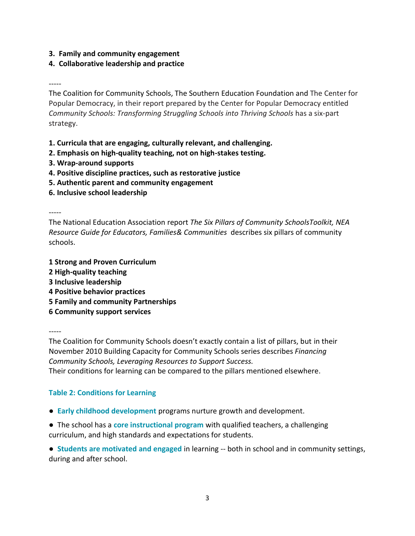**3. Family and community engagement**

## **4. Collaborative leadership and practice**

-----

The Coalition for Community Schools, The Southern Education Foundation and The Center for Popular Democracy, in their report prepared by the Center for Popular Democracy entitled *Community Schools: Transforming Struggling Schools into Thriving Schools* has a six-part strategy.

**1. Curricula that are engaging, culturally relevant, and challenging.**

- **2. Emphasis on high-quality teaching, not on high-stakes testing.**
- **3. Wrap-around supports**
- **4. Positive discipline practices, such as restorative justice**
- **5. Authentic parent and community engagement**
- **6. Inclusive school leadership**

-----

The National Education Association report *The Six Pillars of Community SchoolsToolkit, NEA Resource Guide for Educators, Families& Communities* describes six pillars of community schools.

- **1 Strong and Proven Curriculum**
- **2 High-quality teaching**
- **3 Inclusive leadership**
- **4 Positive behavior practices**
- **5 Family and community Partnerships**
- **6 Community support services**

-----

The Coalition for Community Schools doesn't exactly contain a list of pillars, but in their November 2010 Building Capacity for Community Schools series describes *Financing Community Schools, Leveraging Resources to Support Success.* Their conditions for learning can be compared to the pillars mentioned elsewhere.

# **Table 2: Conditions for Learning**

- **Early childhood development** programs nurture growth and development.
- The school has a **core instructional program** with qualified teachers, a challenging curriculum, and high standards and expectations for students.

**● Students are motivated and engaged** in learning -- both in school and in community settings, during and after school.